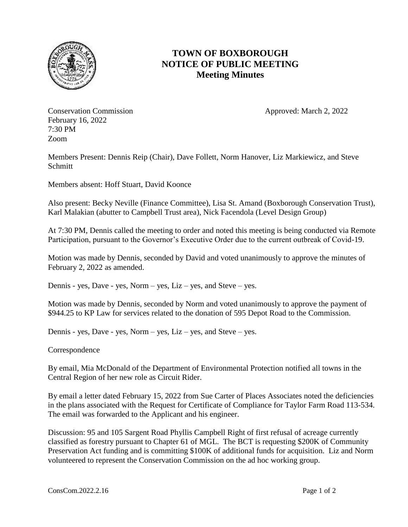

## **TOWN OF BOXBOROUGH NOTICE OF PUBLIC MEETING Meeting Minutes**

Conservation Commission **Approved:** March 2, 2022 February 16, 2022 7:30 PM Zoom

Members Present: Dennis Reip (Chair), Dave Follett, Norm Hanover, Liz Markiewicz, and Steve **Schmitt** 

Members absent: Hoff Stuart, David Koonce

Also present: Becky Neville (Finance Committee), Lisa St. Amand (Boxborough Conservation Trust), Karl Malakian (abutter to Campbell Trust area), Nick Facendola (Level Design Group)

At 7:30 PM, Dennis called the meeting to order and noted this meeting is being conducted via Remote Participation, pursuant to the Governor's Executive Order due to the current outbreak of Covid-19.

Motion was made by Dennis, seconded by David and voted unanimously to approve the minutes of February 2, 2022 as amended.

Dennis - yes, Dave - yes, Norm – yes, Liz – yes, and Steve – yes.

Motion was made by Dennis, seconded by Norm and voted unanimously to approve the payment of \$944.25 to KP Law for services related to the donation of 595 Depot Road to the Commission.

Dennis - yes, Dave - yes, Norm – yes, Liz – yes, and Steve – yes.

Correspondence

By email, Mia McDonald of the Department of Environmental Protection notified all towns in the Central Region of her new role as Circuit Rider.

By email a letter dated February 15, 2022 from Sue Carter of Places Associates noted the deficiencies in the plans associated with the Request for Certificate of Compliance for Taylor Farm Road 113-534. The email was forwarded to the Applicant and his engineer.

Discussion: 95 and 105 Sargent Road Phyllis Campbell Right of first refusal of acreage currently classified as forestry pursuant to Chapter 61 of MGL. The BCT is requesting \$200K of Community Preservation Act funding and is committing \$100K of additional funds for acquisition. Liz and Norm volunteered to represent the Conservation Commission on the ad hoc working group.